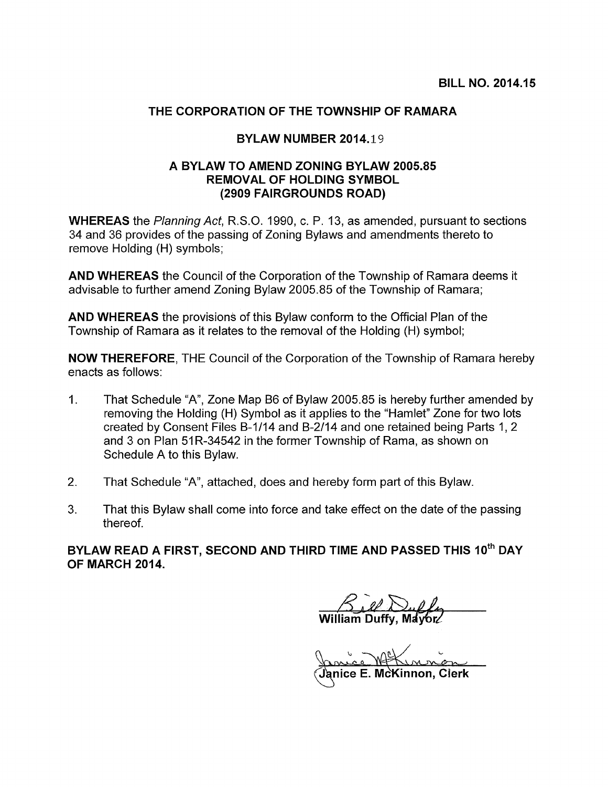## THE CORPORATION OF THE TOWNSHIP OF RAMARA

## BYLAW NUMBER 2014.19

## A BYLAW TO AMEND ZONING BYLAW 2005.85 REMOVAL OF HOLDING SYMBOL (2909 FAIRGROUNDS ROAD)

WHEREAS the Planning Act, R.S.O. 1990, c. P. 13, as amended, pursuant to sections 34 and 36 provides of the passing of Zoning Bylaws and amendments thereto to remove Holding (H) symbols;

AND WHEREAS the Council of the Corporation of the Township of Ramara deems it advisable to further amend Zoning Bylaw 2005.85 of the Township of Ramara;

AND WHEREAS the provisions of this Bylaw conform to the Official Plan of the Township of Ramara as it relates to the removal of the Holding (H) symbol;

NOW THEREFORE, THE Council of the Corporation of the Township of Ramara hereby enacts as follows:

- 1. That Schedule 'A", Zone Map B6 of Bylaw 2005.85 is hereby further amended by removing the Holding (H) Symbol as it applies to the "Hamlet" Zone for two lots created by Consent Files B-1/14 and B-2114 and one retained being Parts 1, 2 and 3 on Plan 51R-34542 in the former Township of Rama, as shown on Schedule A to this Bylaw.
- 2. That Schedule "A", attached, does and hereby form part of this Bylaw.
- 3. That this Bylaw shall come into force and take effect on the date of the passing thereof.

BYLAW READ A FIRST, SECOND AND THIRD TIME AND PASSED THIS 10<sup>th</sup> DAY OF MARCH 2014.

 $\mathcal{B}$ iel William Duffy,

(Janice E. McKinnon, Cierk